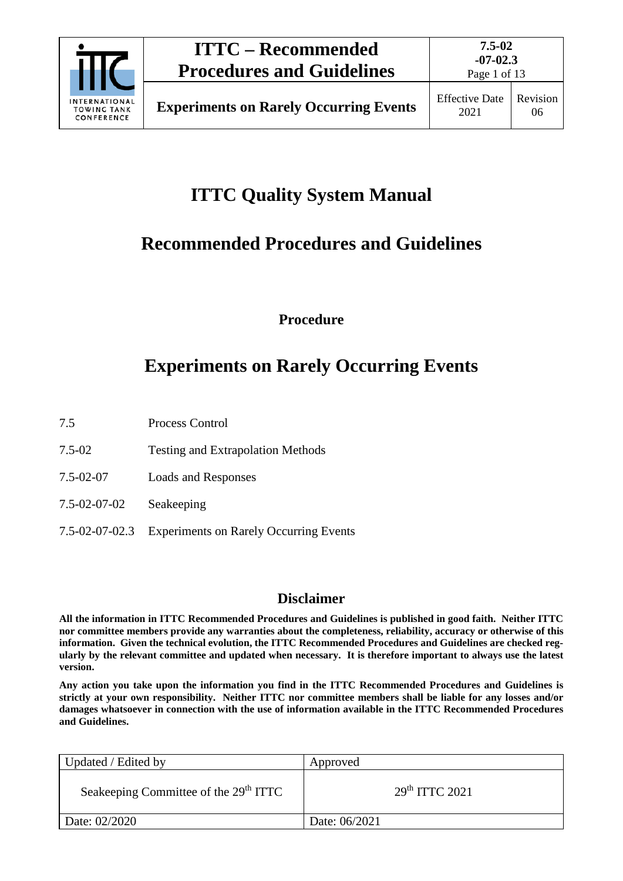

Page 1 of 13

# **ITTC Quality System Manual**

# **Recommended Procedures and Guidelines**

**Procedure**

# **Experiments on Rarely Occurring Events**

- 7.5 Process Control
- 7.5-02 Testing and Extrapolation Methods
- 7.5-02-07 Loads and Responses
- 7.5-02-07-02 Seakeeping
- 7.5-02-07-02.3 Experiments on Rarely Occurring Events

## **Disclaimer**

**All the information in ITTC Recommended Procedures and Guidelines is published in good faith. Neither ITTC nor committee members provide any warranties about the completeness, reliability, accuracy or otherwise of this information. Given the technical evolution, the ITTC Recommended Procedures and Guidelines are checked regularly by the relevant committee and updated when necessary. It is therefore important to always use the latest version.**

**Any action you take upon the information you find in the ITTC Recommended Procedures and Guidelines is strictly at your own responsibility. Neither ITTC nor committee members shall be liable for any losses and/or damages whatsoever in connection with the use of information available in the ITTC Recommended Procedures and Guidelines.**

| Updated / Edited by                               | Approved                   |
|---------------------------------------------------|----------------------------|
| Seakeeping Committee of the 29 <sup>th</sup> ITTC | 29 <sup>th</sup> TTTC 2021 |
| Date: 02/2020                                     | Date: 06/2021              |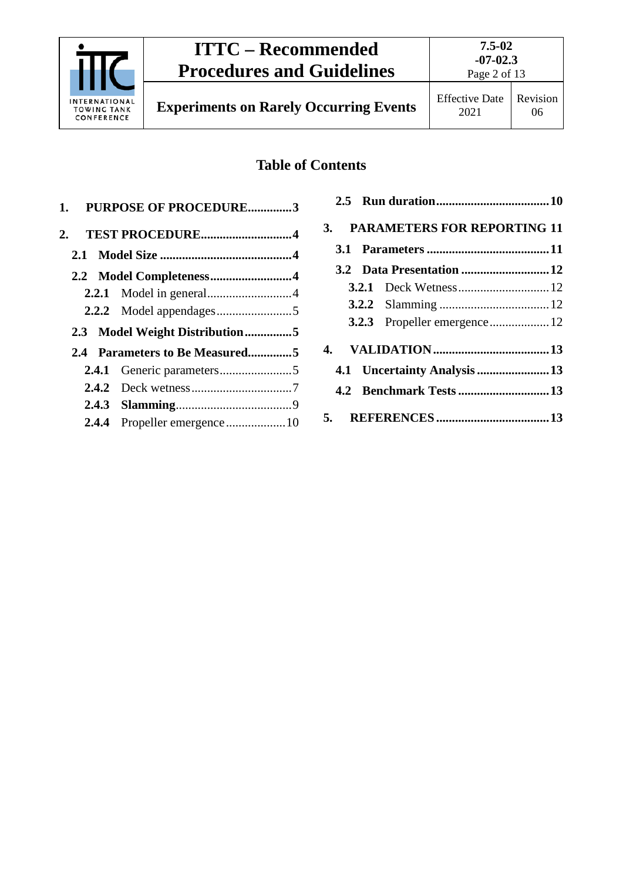

**7.5-02 -07-02.3**

# **Table of Contents**

|       | 1. PURPOSE OF PROCEDURE3       |
|-------|--------------------------------|
|       | 2. TEST PROCEDURE4             |
|       |                                |
|       |                                |
|       |                                |
|       |                                |
|       |                                |
|       | 2.3 Model Weight Distribution5 |
|       | 2.4 Parameters to Be Measured5 |
|       |                                |
|       |                                |
|       |                                |
| 2.4.4 |                                |

| 3. PARAMETERS FOR REPORTING 11 |  |
|--------------------------------|--|
|                                |  |
|                                |  |
|                                |  |
|                                |  |
|                                |  |
|                                |  |
| 4.1 Uncertainty Analysis 13    |  |
|                                |  |
|                                |  |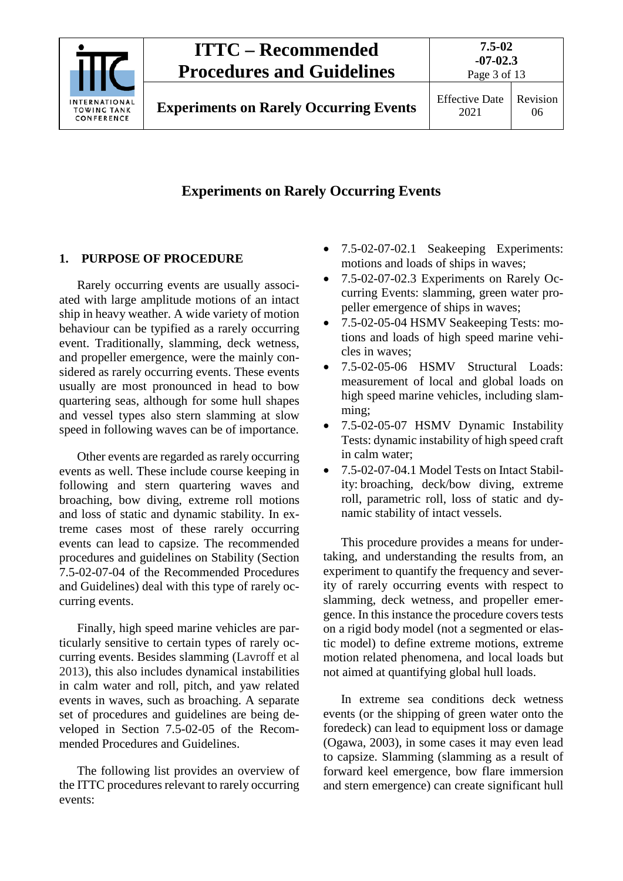

# **Experiments on Rarely Occurring Events**

### <span id="page-2-0"></span>**1. PURPOSE OF PROCEDURE**

Rarely occurring events are usually associated with large amplitude motions of an intact ship in heavy weather. A wide variety of motion behaviour can be typified as a rarely occurring event. Traditionally, slamming, deck wetness, and propeller emergence, were the mainly considered as rarely occurring events. These events usually are most pronounced in head to bow quartering seas, although for some hull shapes and vessel types also stern slamming at slow speed in following waves can be of importance.

Other events are regarded as rarely occurring events as well. These include course keeping in following and stern quartering waves and broaching, bow diving, extreme roll motions and loss of static and dynamic stability. In extreme cases most of these rarely occurring events can lead to capsize. The recommended procedures and guidelines on Stability (Section 7.5-02-07-04 of the Recommended Procedures and Guidelines) deal with this type of rarely occurring events.

Finally, high speed marine vehicles are particularly sensitive to certain types of rarely occurring events. Besides slamming (Lavroff et al 2013), this also includes dynamical instabilities in calm water and roll, pitch, and yaw related events in waves, such as broaching. A separate set of procedures and guidelines are being developed in Section 7.5-02-05 of the Recommended Procedures and Guidelines.

The following list provides an overview of the ITTC procedures relevant to rarely occurring events:

- 7.5-02-07-02.1 Seakeeping Experiments: motions and loads of ships in waves;
- 7.5-02-07-02.3 Experiments on Rarely Occurring Events: slamming, green water propeller emergence of ships in waves;
- 7.5-02-05-04 HSMV Seakeeping Tests: motions and loads of high speed marine vehicles in waves;
- 7.5-02-05-06 HSMV Structural Loads: measurement of local and global loads on high speed marine vehicles, including slamming;
- 7.5-02-05-07 HSMV Dynamic Instability Tests: dynamic instability of high speed craft in calm water;
- 7.5-02-07-04.1 Model Tests on Intact Stability: broaching, deck/bow diving, extreme roll, parametric roll, loss of static and dynamic stability of intact vessels.

This procedure provides a means for undertaking, and understanding the results from, an experiment to quantify the frequency and severity of rarely occurring events with respect to slamming, deck wetness, and propeller emergence. In this instance the procedure covers tests on a rigid body model (not a segmented or elastic model) to define extreme motions, extreme motion related phenomena, and local loads but not aimed at quantifying global hull loads.

In extreme sea conditions deck wetness events (or the shipping of green water onto the foredeck) can lead to equipment loss or damage (Ogawa, 2003), in some cases it may even lead to capsize. Slamming (slamming as a result of forward keel emergence, bow flare immersion and stern emergence) can create significant hull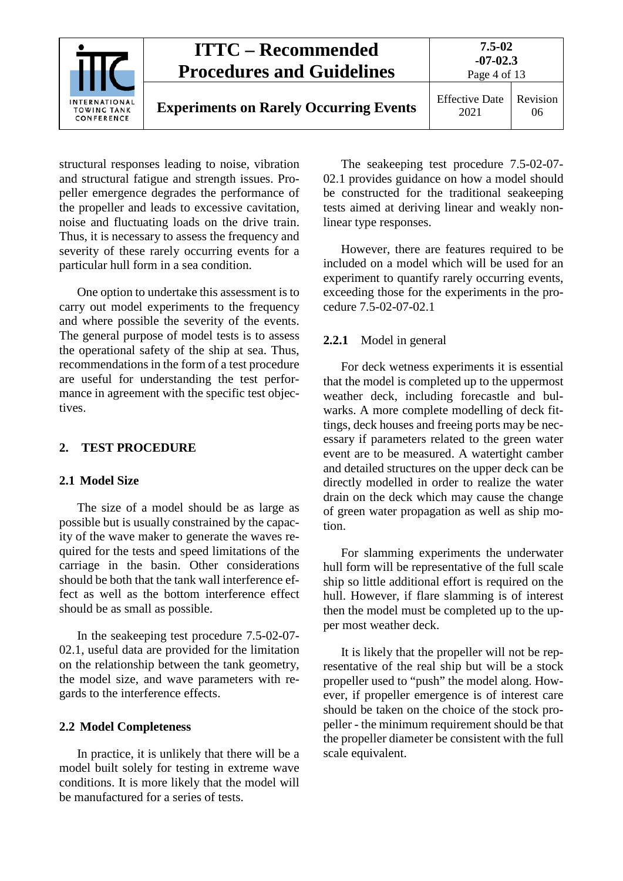|                                                          | <b>ITTC – Recommended</b><br><b>Procedures and Guidelines</b> |                               | $7.5 - 02$<br>$-07-02.3$<br>Page 4 of 13 |  |
|----------------------------------------------------------|---------------------------------------------------------------|-------------------------------|------------------------------------------|--|
| <b>INTERNATIONAL</b><br><b>TOWING TANK</b><br>CONFERENCE | <b>Experiments on Rarely Occurring Events</b>                 | <b>Effective Date</b><br>2021 | Revision<br>06                           |  |

structural responses leading to noise, vibration and structural fatigue and strength issues. Propeller emergence degrades the performance of the propeller and leads to excessive cavitation, noise and fluctuating loads on the drive train. Thus, it is necessary to assess the frequency and severity of these rarely occurring events for a particular hull form in a sea condition.

One option to undertake this assessment is to carry out model experiments to the frequency and where possible the severity of the events. The general purpose of model tests is to assess the operational safety of the ship at sea. Thus, recommendations in the form of a test procedure are useful for understanding the test performance in agreement with the specific test objectives.

#### <span id="page-3-1"></span><span id="page-3-0"></span>**2. TEST PROCEDURE**

#### **2.1 Model Size**

The size of a model should be as large as possible but is usually constrained by the capacity of the wave maker to generate the waves required for the tests and speed limitations of the carriage in the basin. Other considerations should be both that the tank wall interference effect as well as the bottom interference effect should be as small as possible.

In the seakeeping test procedure 7.5-02-07- 02.1, useful data are provided for the limitation on the relationship between the tank geometry, the model size, and wave parameters with regards to the interference effects.

#### <span id="page-3-2"></span>**2.2 Model Completeness**

In practice, it is unlikely that there will be a model built solely for testing in extreme wave conditions. It is more likely that the model will be manufactured for a series of tests.

The seakeeping test procedure 7.5-02-07- 02.1 provides guidance on how a model should be constructed for the traditional seakeeping tests aimed at deriving linear and weakly nonlinear type responses.

However, there are features required to be included on a model which will be used for an experiment to quantify rarely occurring events, exceeding those for the experiments in the procedure 7.5-02-07-02.1

#### <span id="page-3-3"></span>**2.2.1** Model in general

For deck wetness experiments it is essential that the model is completed up to the uppermost weather deck, including forecastle and bulwarks. A more complete modelling of deck fittings, deck houses and freeing ports may be necessary if parameters related to the green water event are to be measured. A watertight camber and detailed structures on the upper deck can be directly modelled in order to realize the water drain on the deck which may cause the change of green water propagation as well as ship motion.

For slamming experiments the underwater hull form will be representative of the full scale ship so little additional effort is required on the hull. However, if flare slamming is of interest then the model must be completed up to the upper most weather deck.

It is likely that the propeller will not be representative of the real ship but will be a stock propeller used to "push" the model along. However, if propeller emergence is of interest care should be taken on the choice of the stock propeller - the minimum requirement should be that the propeller diameter be consistent with the full scale equivalent.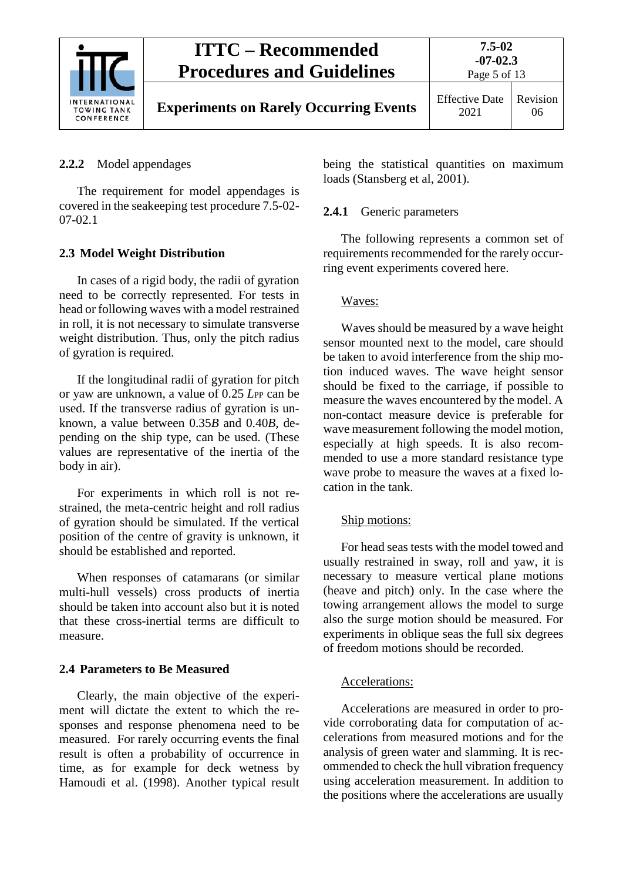

# <span id="page-4-0"></span>**2.2.2** Model appendages

The requirement for model appendages is covered in the seakeeping test procedure 7.5-02- 07-02.1

# <span id="page-4-1"></span>**2.3 Model Weight Distribution**

In cases of a rigid body, the radii of gyration need to be correctly represented. For tests in head or following waves with a model restrained in roll, it is not necessary to simulate transverse weight distribution. Thus, only the pitch radius of gyration is required.

If the longitudinal radii of gyration for pitch or yaw are unknown, a value of 0.25 *L*PP can be used. If the transverse radius of gyration is unknown, a value between 0.35*B* and 0.40*B*, depending on the ship type, can be used. (These values are representative of the inertia of the body in air).

For experiments in which roll is not restrained, the meta-centric height and roll radius of gyration should be simulated. If the vertical position of the centre of gravity is unknown, it should be established and reported.

When responses of catamarans (or similar multi-hull vessels) cross products of inertia should be taken into account also but it is noted that these cross-inertial terms are difficult to measure.

# <span id="page-4-2"></span>**2.4 Parameters to Be Measured**

Clearly, the main objective of the experiment will dictate the extent to which the responses and response phenomena need to be measured. For rarely occurring events the final result is often a probability of occurrence in time, as for example for deck wetness by Hamoudi et al. (1998). Another typical result

being the statistical quantities on maximum loads (Stansberg et al, 2001).

# <span id="page-4-3"></span>**2.4.1** Generic parameters

The following represents a common set of requirements recommended for the rarely occurring event experiments covered here.

## Waves:

Waves should be measured by a wave height sensor mounted next to the model, care should be taken to avoid interference from the ship motion induced waves. The wave height sensor should be fixed to the carriage, if possible to measure the waves encountered by the model. A non-contact measure device is preferable for wave measurement following the model motion, especially at high speeds. It is also recommended to use a more standard resistance type wave probe to measure the waves at a fixed location in the tank.

### Ship motions:

For head seas tests with the model towed and usually restrained in sway, roll and yaw, it is necessary to measure vertical plane motions (heave and pitch) only. In the case where the towing arrangement allows the model to surge also the surge motion should be measured. For experiments in oblique seas the full six degrees of freedom motions should be recorded.

## Accelerations:

Accelerations are measured in order to provide corroborating data for computation of accelerations from measured motions and for the analysis of green water and slamming. It is recommended to check the hull vibration frequency using acceleration measurement. In addition to the positions where the accelerations are usually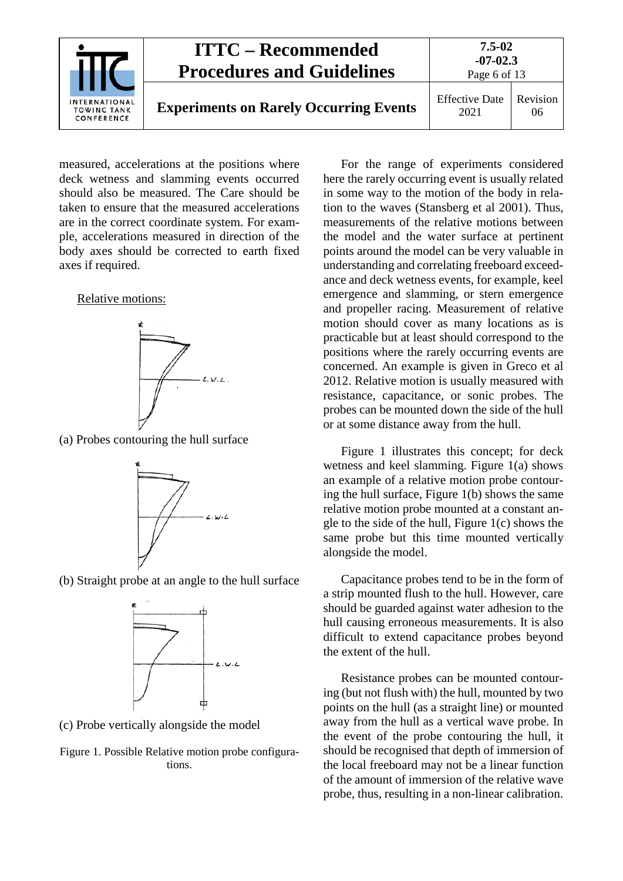

measured, accelerations at the positions where deck wetness and slamming events occurred should also be measured. The Care should be taken to ensure that the measured accelerations are in the correct coordinate system. For example, accelerations measured in direction of the body axes should be corrected to earth fixed axes if required.

#### Relative motions:



(a) Probes contouring the hull surface



(b) Straight probe at an angle to the hull surface



(c) Probe vertically alongside the model

Figure 1. Possible Relative motion probe configurations.

For the range of experiments considered here the rarely occurring event is usually related in some way to the motion of the body in relation to the waves (Stansberg et al 2001). Thus, measurements of the relative motions between the model and the water surface at pertinent points around the model can be very valuable in understanding and correlating freeboard exceedance and deck wetness events, for example, keel emergence and slamming, or stern emergence and propeller racing. Measurement of relative motion should cover as many locations as is practicable but at least should correspond to the positions where the rarely occurring events are concerned. An example is given in Greco et al 2012. Relative motion is usually measured with resistance, capacitance, or sonic probes. The probes can be mounted down the side of the hull or at some distance away from the hull.

Figure 1 illustrates this concept; for deck wetness and keel slamming. Figure 1(a) shows an example of a relative motion probe contouring the hull surface, Figure 1(b) shows the same relative motion probe mounted at a constant angle to the side of the hull, Figure 1(c) shows the same probe but this time mounted vertically alongside the model.

Capacitance probes tend to be in the form of a strip mounted flush to the hull. However, care should be guarded against water adhesion to the hull causing erroneous measurements. It is also difficult to extend capacitance probes beyond the extent of the hull.

Resistance probes can be mounted contouring (but not flush with) the hull, mounted by two points on the hull (as a straight line) or mounted away from the hull as a vertical wave probe. In the event of the probe contouring the hull, it should be recognised that depth of immersion of the local freeboard may not be a linear function of the amount of immersion of the relative wave probe, thus, resulting in a non-linear calibration.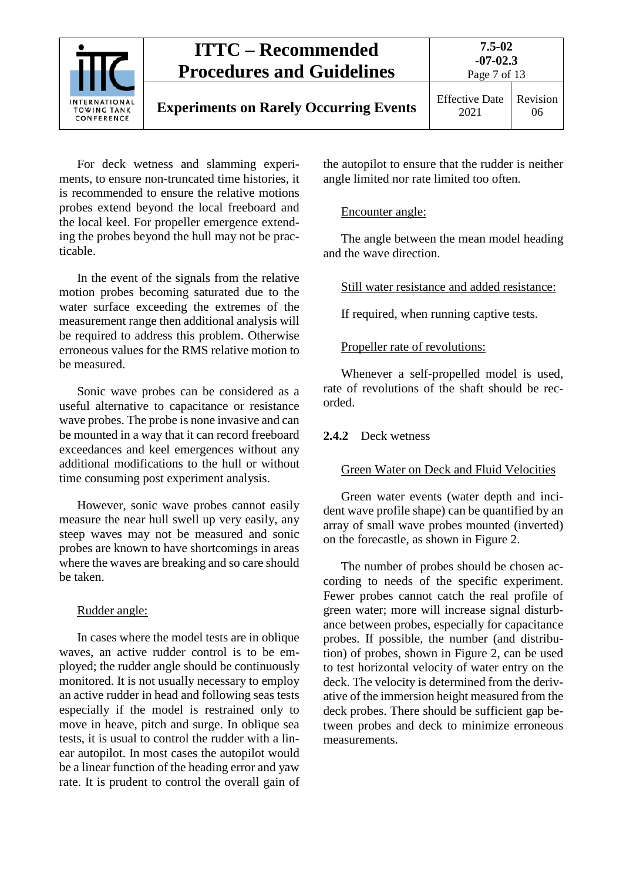

For deck wetness and slamming experiments, to ensure non-truncated time histories, it is recommended to ensure the relative motions probes extend beyond the local freeboard and the local keel. For propeller emergence extending the probes beyond the hull may not be practicable.

In the event of the signals from the relative motion probes becoming saturated due to the water surface exceeding the extremes of the measurement range then additional analysis will be required to address this problem. Otherwise erroneous values for the RMS relative motion to be measured.

Sonic wave probes can be considered as a useful alternative to capacitance or resistance wave probes. The probe is none invasive and can be mounted in a way that it can record freeboard exceedances and keel emergences without any additional modifications to the hull or without time consuming post experiment analysis.

However, sonic wave probes cannot easily measure the near hull swell up very easily, any steep waves may not be measured and sonic probes are known to have shortcomings in areas where the waves are breaking and so care should be taken.

#### Rudder angle:

In cases where the model tests are in oblique waves, an active rudder control is to be employed; the rudder angle should be continuously monitored. It is not usually necessary to employ an active rudder in head and following seas tests especially if the model is restrained only to move in heave, pitch and surge. In oblique sea tests, it is usual to control the rudder with a linear autopilot. In most cases the autopilot would be a linear function of the heading error and yaw rate. It is prudent to control the overall gain of the autopilot to ensure that the rudder is neither angle limited nor rate limited too often.

#### Encounter angle:

The angle between the mean model heading and the wave direction.

Still water resistance and added resistance:

If required, when running captive tests.

#### Propeller rate of revolutions:

Whenever a self-propelled model is used, rate of revolutions of the shaft should be recorded.

#### <span id="page-6-0"></span>**2.4.2** Deck wetness

#### Green Water on Deck and Fluid Velocities

Green water events (water depth and incident wave profile shape) can be quantified by an array of small wave probes mounted (inverted) on the forecastle, as shown in Figure 2.

The number of probes should be chosen according to needs of the specific experiment. Fewer probes cannot catch the real profile of green water; more will increase signal disturbance between probes, especially for capacitance probes. If possible, the number (and distribution) of probes, shown in Figure 2, can be used to test horizontal velocity of water entry on the deck. The velocity is determined from the derivative of the immersion height measured from the deck probes. There should be sufficient gap between probes and deck to minimize erroneous measurements.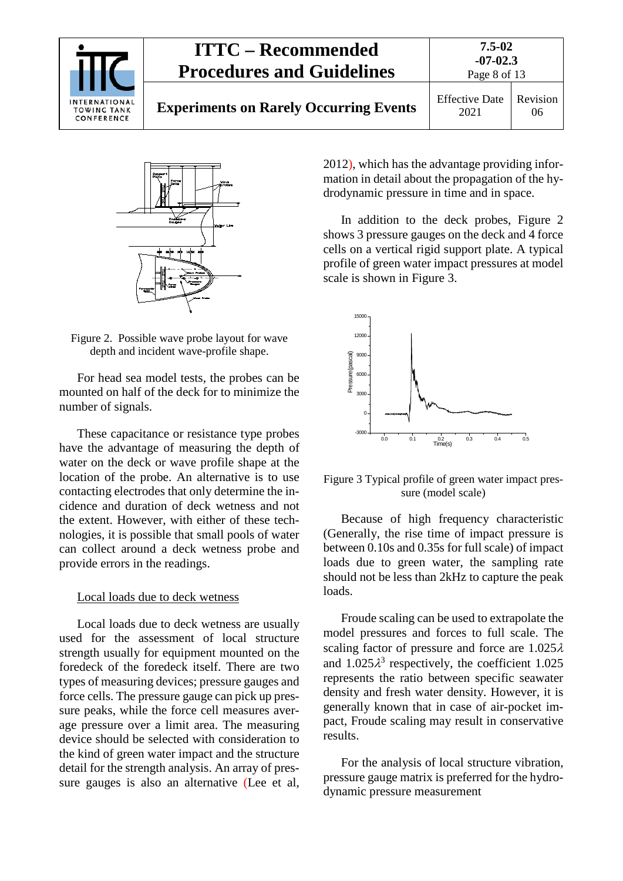|                                                   | <b>ITTC – Recommended</b><br><b>Procedures and Guidelines</b> |                               | $7.5 - 02$<br>$-07-02.3$<br>Page 8 of 13 |  |
|---------------------------------------------------|---------------------------------------------------------------|-------------------------------|------------------------------------------|--|
| INTERNATIONAL<br><b>TOWING TANK</b><br>CONFERENCE | <b>Experiments on Rarely Occurring Events</b>                 | <b>Effective Date</b><br>2021 | Revision<br>06                           |  |



Figure 2. Possible wave probe layout for wave depth and incident wave-profile shape.

For head sea model tests, the probes can be mounted on half of the deck for to minimize the number of signals.

These capacitance or resistance type probes have the advantage of measuring the depth of water on the deck or wave profile shape at the location of the probe. An alternative is to use contacting electrodes that only determine the incidence and duration of deck wetness and not the extent. However, with either of these technologies, it is possible that small pools of water can collect around a deck wetness probe and provide errors in the readings.

#### Local loads due to deck wetness

Local loads due to deck wetness are usually used for the assessment of local structure strength usually for equipment mounted on the foredeck of the foredeck itself. There are two types of measuring devices; pressure gauges and force cells. The pressure gauge can pick up pressure peaks, while the force cell measures average pressure over a limit area. The measuring device should be selected with consideration to the kind of green water impact and the structure detail for the strength analysis. An array of pressure gauges is also an alternative (Lee et al,

2012), which has the advantage providing information in detail about the propagation of the hydrodynamic pressure in time and in space.

In addition to the deck probes, Figure 2 shows 3 pressure gauges on the deck and 4 force cells on a vertical rigid support plate. A typical profile of green water impact pressures at model scale is shown in Figure 3.



Figure 3 Typical profile of green water impact pressure (model scale)

Because of high frequency characteristic (Generally, the rise time of impact pressure is between 0.10s and 0.35s for full scale) of impact loads due to green water, the sampling rate should not be less than 2kHz to capture the peak loads.

Froude scaling can be used to extrapolate the model pressures and forces to full scale. The scaling factor of pressure and force are 1.025λ and  $1.025\lambda^3$  respectively, the coefficient 1.025 represents the ratio between specific seawater density and fresh water density. However, it is generally known that in case of air-pocket impact, Froude scaling may result in conservative results.

For the analysis of local structure vibration, pressure gauge matrix is preferred for the hydrodynamic pressure measurement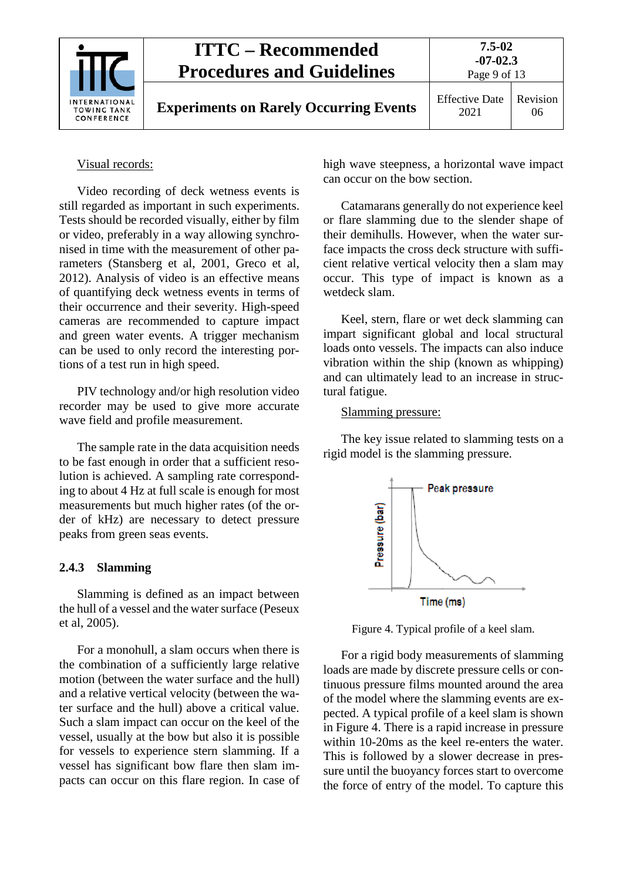| <b>ITTC – Recommended</b><br><b>Procedures and Guidelines</b><br><b>INTERNATIONAL</b><br><b>Experiments on Rarely Occurring Events</b><br><b>TOWING TANK</b><br>CONFERENCE | 7.5-02<br>$-07-02.3$<br>Page 9 of 13 |                               |
|----------------------------------------------------------------------------------------------------------------------------------------------------------------------------|--------------------------------------|-------------------------------|
|                                                                                                                                                                            |                                      | <b>Effective Date</b><br>2021 |

#### Visual records:

Video recording of deck wetness events is still regarded as important in such experiments. Tests should be recorded visually, either by film or video, preferably in a way allowing synchronised in time with the measurement of other parameters (Stansberg et al, 2001, Greco et al, 2012). Analysis of video is an effective means of quantifying deck wetness events in terms of their occurrence and their severity. High-speed cameras are recommended to capture impact and green water events. A trigger mechanism can be used to only record the interesting portions of a test run in high speed.

PIV technology and/or high resolution video recorder may be used to give more accurate wave field and profile measurement.

The sample rate in the data acquisition needs to be fast enough in order that a sufficient resolution is achieved. A sampling rate corresponding to about 4 Hz at full scale is enough for most measurements but much higher rates (of the order of kHz) are necessary to detect pressure peaks from green seas events.

#### <span id="page-8-0"></span>**2.4.3 Slamming**

Slamming is defined as an impact between the hull of a vessel and the water surface (Peseux et al, 2005).

For a monohull, a slam occurs when there is the combination of a sufficiently large relative motion (between the water surface and the hull) and a relative vertical velocity (between the water surface and the hull) above a critical value. Such a slam impact can occur on the keel of the vessel, usually at the bow but also it is possible for vessels to experience stern slamming. If a vessel has significant bow flare then slam impacts can occur on this flare region. In case of high wave steepness, a horizontal wave impact can occur on the bow section.

Catamarans generally do not experience keel or flare slamming due to the slender shape of their demihulls. However, when the water surface impacts the cross deck structure with sufficient relative vertical velocity then a slam may occur. This type of impact is known as a wetdeck slam.

Keel, stern, flare or wet deck slamming can impart significant global and local structural loads onto vessels. The impacts can also induce vibration within the ship (known as whipping) and can ultimately lead to an increase in structural fatigue.

#### Slamming pressure:

The key issue related to slamming tests on a rigid model is the slamming pressure.



Figure 4. Typical profile of a keel slam.

For a rigid body measurements of slamming loads are made by discrete pressure cells or continuous pressure films mounted around the area of the model where the slamming events are expected. A typical profile of a keel slam is shown in Figure 4. There is a rapid increase in pressure within 10-20ms as the keel re-enters the water. This is followed by a slower decrease in pressure until the buoyancy forces start to overcome the force of entry of the model. To capture this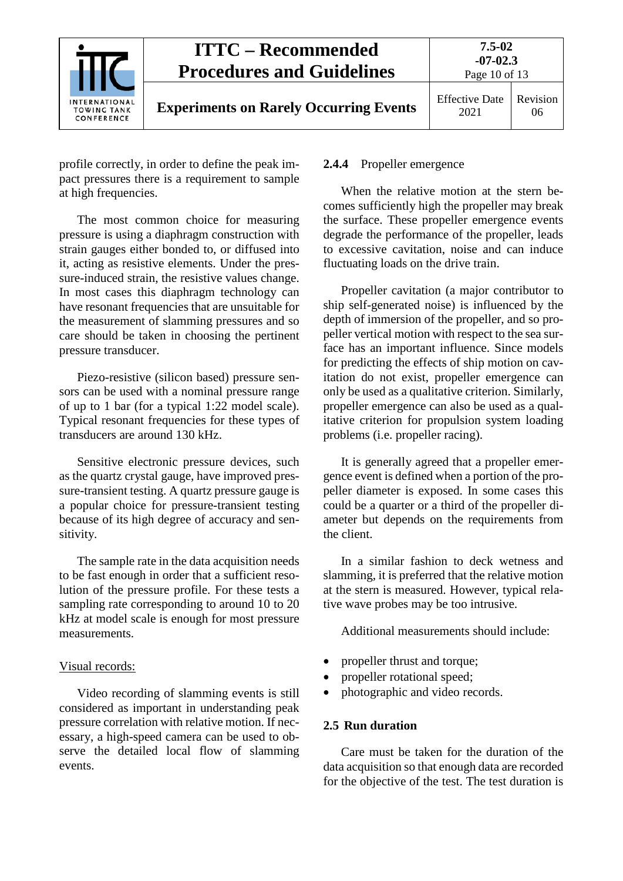

profile correctly, in order to define the peak impact pressures there is a requirement to sample at high frequencies.

The most common choice for measuring pressure is using a diaphragm construction with strain gauges either bonded to, or diffused into it, acting as resistive elements. Under the pressure-induced strain, the resistive values change. In most cases this diaphragm technology can have resonant frequencies that are unsuitable for the measurement of slamming pressures and so care should be taken in choosing the pertinent pressure transducer.

Piezo-resistive (silicon based) pressure sensors can be used with a nominal pressure range of up to 1 bar (for a typical 1:22 model scale). Typical resonant frequencies for these types of transducers are around 130 kHz.

Sensitive electronic pressure devices, such as the quartz crystal gauge, have improved pressure-transient testing. A quartz pressure gauge is a popular choice for pressure-transient testing because of its high degree of accuracy and sensitivity.

The sample rate in the data acquisition needs to be fast enough in order that a sufficient resolution of the pressure profile. For these tests a sampling rate corresponding to around 10 to 20 kHz at model scale is enough for most pressure measurements.

#### Visual records:

Video recording of slamming events is still considered as important in understanding peak pressure correlation with relative motion. If necessary, a high-speed camera can be used to observe the detailed local flow of slamming events.

#### <span id="page-9-0"></span>**2.4.4** Propeller emergence

When the relative motion at the stern becomes sufficiently high the propeller may break the surface. These propeller emergence events degrade the performance of the propeller, leads to excessive cavitation, noise and can induce fluctuating loads on the drive train.

Propeller cavitation (a major contributor to ship self-generated noise) is influenced by the depth of immersion of the propeller, and so propeller vertical motion with respect to the sea surface has an important influence. Since models for predicting the effects of ship motion on cavitation do not exist, propeller emergence can only be used as a qualitative criterion. Similarly, propeller emergence can also be used as a qualitative criterion for propulsion system loading problems (i.e. propeller racing).

It is generally agreed that a propeller emergence event is defined when a portion of the propeller diameter is exposed. In some cases this could be a quarter or a third of the propeller diameter but depends on the requirements from the client.

In a similar fashion to deck wetness and slamming, it is preferred that the relative motion at the stern is measured. However, typical relative wave probes may be too intrusive.

Additional measurements should include:

- propeller thrust and torque;
- propeller rotational speed;
- photographic and video records.

### <span id="page-9-1"></span>**2.5 Run duration**

Care must be taken for the duration of the data acquisition so that enough data are recorded for the objective of the test. The test duration is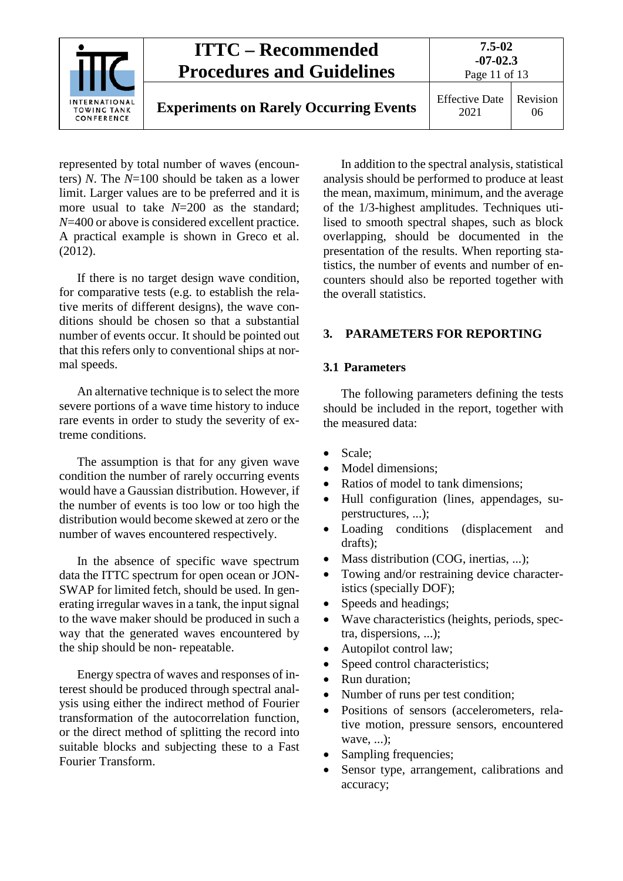

represented by total number of waves (encounters) *N*. The *N*=100 should be taken as a lower limit. Larger values are to be preferred and it is more usual to take *N*=200 as the standard; *N*=400 or above is considered excellent practice. A practical example is shown in Greco et al. (2012).

If there is no target design wave condition, for comparative tests (e.g. to establish the relative merits of different designs), the wave conditions should be chosen so that a substantial number of events occur. It should be pointed out that this refers only to conventional ships at normal speeds.

An alternative technique is to select the more severe portions of a wave time history to induce rare events in order to study the severity of extreme conditions.

The assumption is that for any given wave condition the number of rarely occurring events would have a Gaussian distribution. However, if the number of events is too low or too high the distribution would become skewed at zero or the number of waves encountered respectively.

In the absence of specific wave spectrum data the ITTC spectrum for open ocean or JON-SWAP for limited fetch, should be used. In generating irregular waves in a tank, the input signal to the wave maker should be produced in such a way that the generated waves encountered by the ship should be non- repeatable.

Energy spectra of waves and responses of interest should be produced through spectral analysis using either the indirect method of Fourier transformation of the autocorrelation function, or the direct method of splitting the record into suitable blocks and subjecting these to a Fast Fourier Transform.

In addition to the spectral analysis, statistical analysis should be performed to produce at least the mean, maximum, minimum, and the average of the 1/3-highest amplitudes. Techniques utilised to smooth spectral shapes, such as block overlapping, should be documented in the presentation of the results. When reporting statistics, the number of events and number of encounters should also be reported together with the overall statistics.

### <span id="page-10-1"></span><span id="page-10-0"></span>**3. PARAMETERS FOR REPORTING**

#### **3.1 Parameters**

The following parameters defining the tests should be included in the report, together with the measured data:

- Scale;
- Model dimensions;
- Ratios of model to tank dimensions;
- Hull configuration (lines, appendages, superstructures, ...);
- Loading conditions (displacement and drafts);
- Mass distribution (COG, inertias, ...);
- Towing and/or restraining device characteristics (specially DOF);
- Speeds and headings;
- Wave characteristics (heights, periods, spectra, dispersions, ...);
- Autopilot control law;
- Speed control characteristics;
- Run duration:
- Number of runs per test condition;
- Positions of sensors (accelerometers, relative motion, pressure sensors, encountered wave. ...):
- Sampling frequencies;
- Sensor type, arrangement, calibrations and accuracy;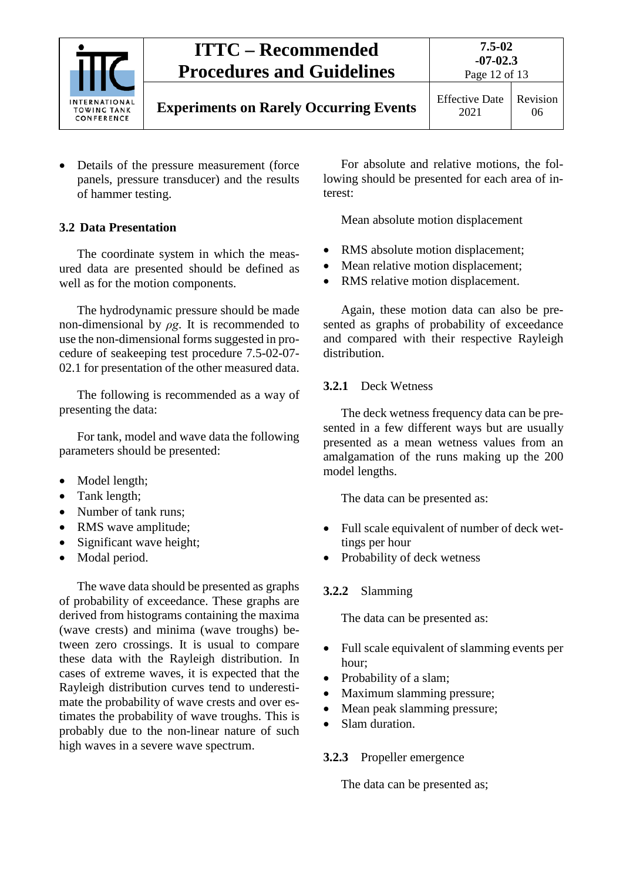

• Details of the pressure measurement (force panels, pressure transducer) and the results of hammer testing.

## <span id="page-11-0"></span>**3.2 Data Presentation**

The coordinate system in which the measured data are presented should be defined as well as for the motion components.

The hydrodynamic pressure should be made non-dimensional by  $\rho g$ . It is recommended to use the non-dimensional forms suggested in procedure of seakeeping test procedure 7.5-02-07- 02.1 for presentation of the other measured data.

The following is recommended as a way of presenting the data:

For tank, model and wave data the following parameters should be presented:

- Model length;
- Tank length;
- Number of tank runs:
- RMS wave amplitude;
- Significant wave height;
- Modal period.

The wave data should be presented as graphs of probability of exceedance. These graphs are derived from histograms containing the maxima (wave crests) and minima (wave troughs) between zero crossings. It is usual to compare these data with the Rayleigh distribution. In cases of extreme waves, it is expected that the Rayleigh distribution curves tend to underestimate the probability of wave crests and over estimates the probability of wave troughs. This is probably due to the non-linear nature of such high waves in a severe wave spectrum.

For absolute and relative motions, the following should be presented for each area of interest:

Mean absolute motion displacement

- RMS absolute motion displacement;
- Mean relative motion displacement;
- RMS relative motion displacement.

Again, these motion data can also be presented as graphs of probability of exceedance and compared with their respective Rayleigh distribution.

#### <span id="page-11-1"></span>**3.2.1** Deck Wetness

The deck wetness frequency data can be presented in a few different ways but are usually presented as a mean wetness values from an amalgamation of the runs making up the 200 model lengths.

The data can be presented as:

- Full scale equivalent of number of deck wettings per hour
- Probability of deck wetness

### <span id="page-11-2"></span>**3.2.2** Slamming

The data can be presented as:

- Full scale equivalent of slamming events per hour;
- Probability of a slam;
- Maximum slamming pressure;
- Mean peak slamming pressure;
- Slam duration.

### <span id="page-11-3"></span>**3.2.3** Propeller emergence

The data can be presented as;